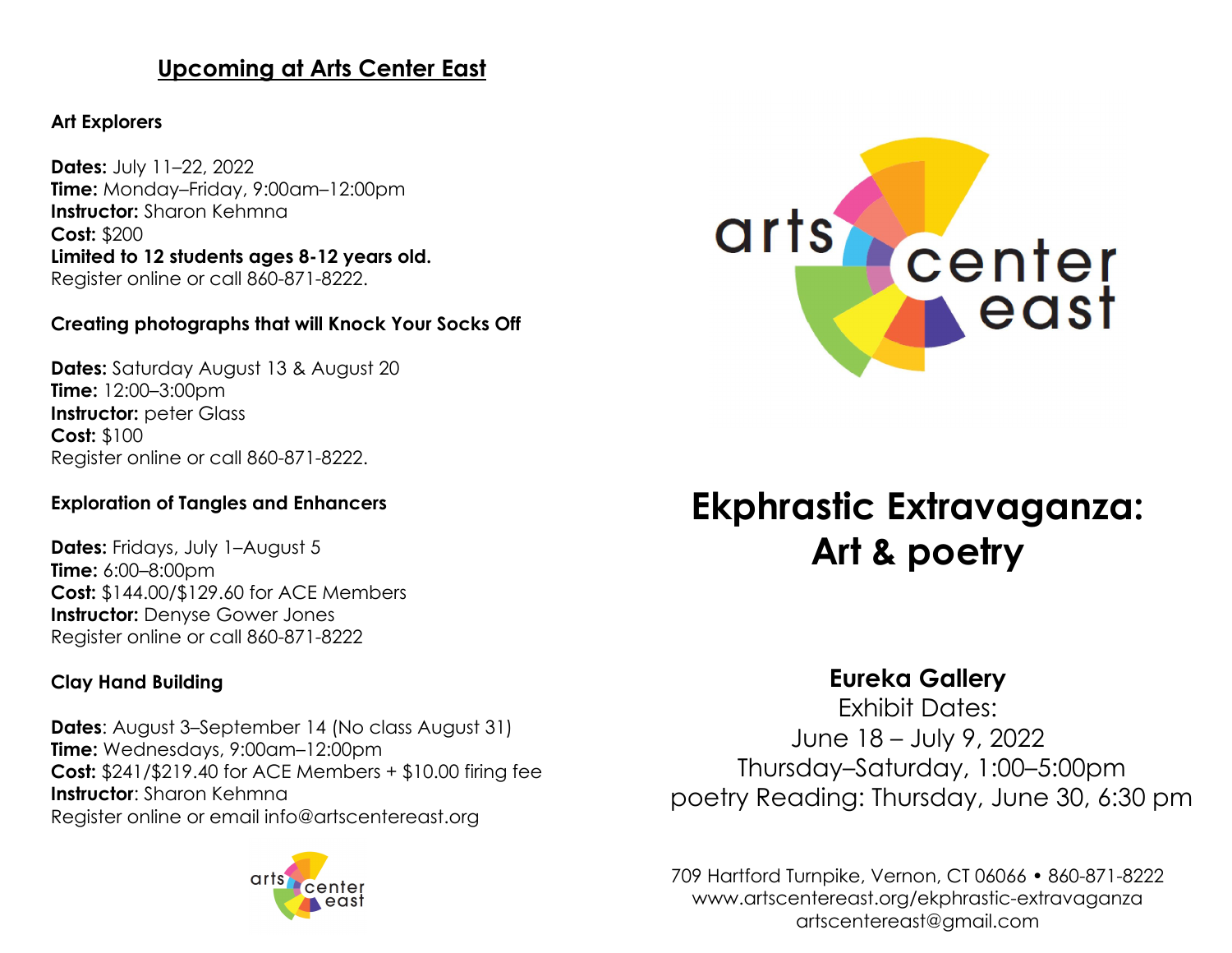# **Upcoming at Arts Center East**

#### **Art Explorers**

**Dates:** July 11–22, 2022 **Time:** Monday–Friday, 9:00am–12:00pm **Instructor:** Sharon Kehmna **Cost:** \$200 **Limited to 12 students ages 8-12 years old.** Register online or call 860-871-8222.

## **Creating photographs that will Knock Your Socks Off**

**Dates:** Saturday August 13 & August 20 **Time:** 12:00–3:00pm **Instructor:** peter Glass **Cost:** \$100 Register online or call 860-871-8222.

#### **Exploration of Tangles and Enhancers**

**Dates:** Fridays, July 1–August 5 **Time:** 6:00–8:00pm **Cost:** \$144.00/\$129.60 for ACE Members **Instructor:** Denyse Gower Jones Register online or call 860-871-8222

## **Clay Hand Building**

**Dates**: August 3–September 14 (No class August 31) **Time:** Wednesdays, 9:00am–12:00pm **Cost:** \$241/\$219.40 for ACE Members + \$10.00 firing fee **Instructor**: Sharon Kehmna Register online or email info@artscentereast.org





# **Ekphrastic Extravaganza: Art & poetry**

# **Eureka Gallery**

Exhibit Dates: June 18 – July 9, 2022 Thursday–Saturday, 1:00–5:00pm poetry Reading: Thursday, June 30, 6:30 pm

709 Hartford Turnpike, Vernon, CT 06066 • 860-871-8222 www.artscentereast.org/ekphrastic-extravaganza artscentereast@gmail.com